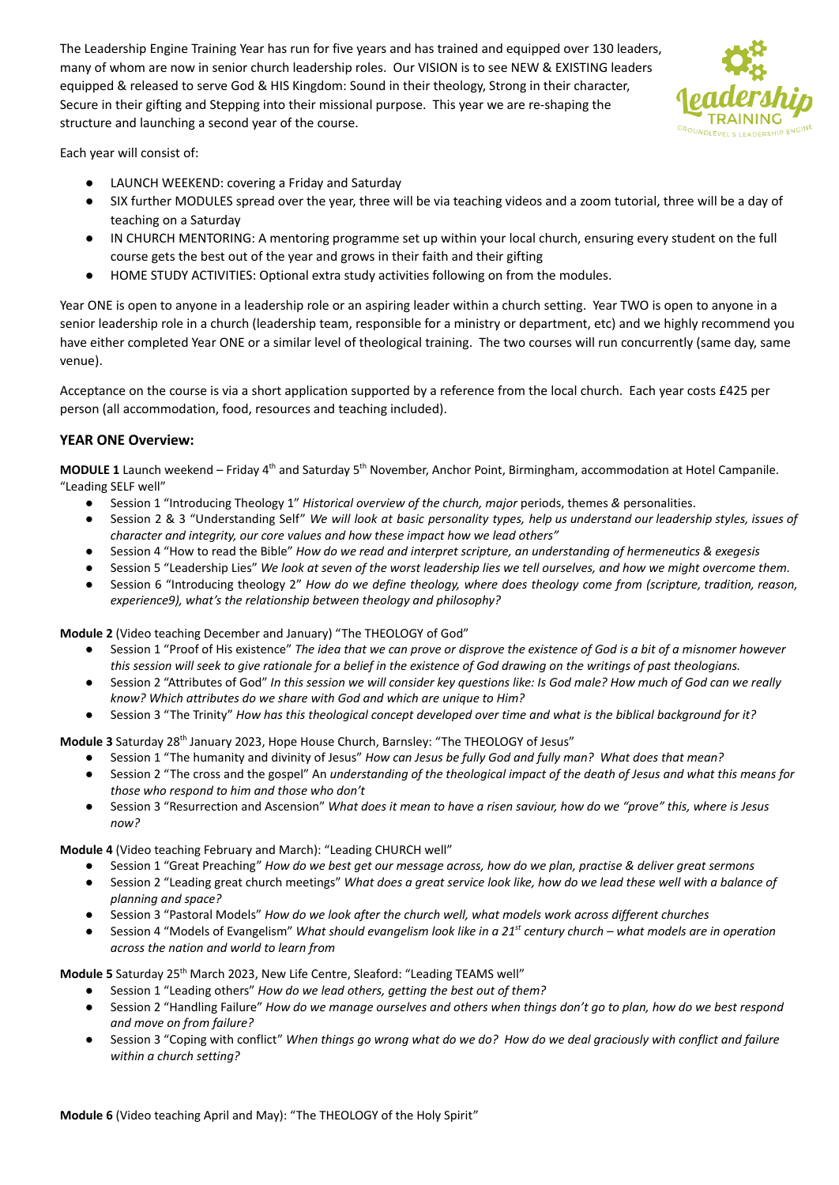The Leadership Engine Training Year has run for five years and has trained and equipped over 130 leaders, many of whom are now in senior church leadership roles. Our VISION is to see NEW & EXISTING leaders equipped & released to serve God & HIS Kingdom: Sound in their theology, Strong in their character, Secure in their gifting and Stepping into their missional purpose. This year we are re-shaping the structure and launching a second year of the course.



Each year will consist of:

- LAUNCH WEEKEND: covering a Friday and Saturday
- SIX further MODULES spread over the year, three will be via teaching videos and a zoom tutorial, three will be a day of teaching on a Saturday
- IN CHURCH MENTORING: A mentoring programme set up within your local church, ensuring every student on the full course gets the best out of the year and grows in their faith and their gifting
- HOME STUDY ACTIVITIES: Optional extra study activities following on from the modules.

Year ONE is open to anyone in a leadership role or an aspiring leader within a church setting. Year TWO is open to anyone in a senior leadership role in a church (leadership team, responsible for a ministry or department, etc) and we highly recommend you have either completed Year ONE or a similar level of theological training. The two courses will run concurrently (same day, same venue).

Acceptance on the course is via a short application supported by a reference from the local church. Each year costs £425 per person (all accommodation, food, resources and teaching included).

## **YEAR ONE Overview:**

**MODULE 1** Launch weekend – Friday 4<sup>th</sup> and Saturday 5<sup>th</sup> November, Anchor Point, Birmingham, accommodation at Hotel Campanile. "Leading SELF well"

- Session 1 "Introducing Theology 1" *Historical overview of the church, major* periods, themes *&* personalities.
- Session 2 & 3 "Understanding Self" We will look at basic personality types, help us understand our leadership styles, issues of *character and integrity, our core values and how these impact how we lead others"*
- Session 4 "How to read the Bible" *How do we read and interpret scripture, an understanding of hermeneutics & exegesis*
- Session 5 "Leadership Lies" We look at seven of the worst leadership lies we tell ourselves, and how we might overcome them.
- Session 6 "Introducing theology 2" *How do we define theology, where does theology come from (scripture, tradition, reason, experience9), what's the relationship between theology and philosophy?*

**Module 2** (Video teaching December and January) "The THEOLOGY of God"

- Session 1 "Proof of His existence" The idea that we can prove or disprove the existence of God is a bit of a misnomer however this session will seek to give rationale for a belief in the existence of God drawing on the writings of past theologians.
- Session 2 "Attributes of God" In this session we will consider key questions like: Is God male? How much of God can we really *know? Which attributes do we share with God and which are unique to Him?*
- Session 3 "The Trinity" How has this theological concept developed over time and what is the biblical background for it?

Module 3 Saturday 28<sup>th</sup> January 2023, Hope House Church, Barnsley: "The THEOLOGY of Jesus"

- Session 1 "The humanity and divinity of Jesus" *How can Jesus be fully God and fully man? What does that mean?*
- Session 2 "The cross and the gospel" An understanding of the theological impact of the death of Jesus and what this means for *those who respond to him and those who don't*
- Session 3 "Resurrection and Ascension" What does it mean to have a risen saviour, how do we "prove" this, where is Jesus *now?*

## **Module 4** (Video teaching February and March): "Leading CHURCH well"

- Session 1 "Great Preaching" How do we best get our message across, how do we plan, practise & deliver great sermons
- Session 2 "Leading great church meetings" What does a great service look like, how do we lead these well with a balance of *planning and space?*
- *●* Session 3 "Pastoral Models" *How do we look after the church well, what models work across different churches*
- Session 4 "Models of Evangelism" What should evangelism look like in a 21<sup>st</sup> century church what models are in operation *across the nation and world to learn from*

Module 5 Saturday 25<sup>th</sup> March 2023, New Life Centre, Sleaford: "Leading TEAMS well"

- Session 1 "Leading others" *How do we lead others, getting the best out of them?*
- Session 2 "Handling Failure" How do we manage ourselves and others when things don't go to plan, how do we best respond *and move on from failure?*
- Session 3 "Coping with conflict" When things go wrong what do we do? How do we deal graciously with conflict and failure *within a church setting?*